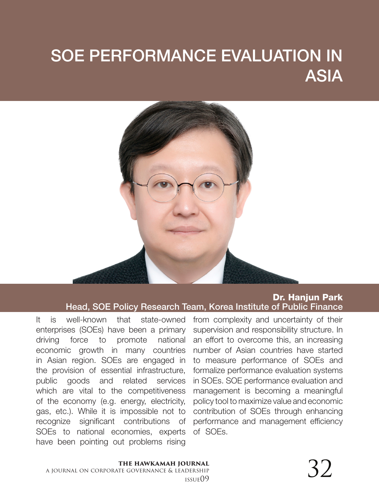# SOE PERFORMANCE EVALUATION IN ASIA



#### Dr. Hanjun Park Head, SOE Policy Research Team, Korea Institute of Public Finance

It is well-known that state-owned enterprises (SOEs) have been a primary driving force to promote national economic growth in many countries in Asian region. SOEs are engaged in the provision of essential infrastructure, public goods and related services which are vital to the competitiveness of the economy (e.g. energy, electricity, gas, etc.). While it is impossible not to recognize significant contributions of SOEs to national economies, experts have been pointing out problems rising

from complexity and uncertainty of their supervision and responsibility structure. In an effort to overcome this, an increasing number of Asian countries have started to measure performance of SOEs and formalize performance evaluation systems in SOEs. SOE performance evaluation and management is becoming a meaningful policy tool to maximize value and economic contribution of SOEs through enhancing performance and management efficiency of SOEs.

## **the hawkamah journal**

a journal on corporate governance & leadership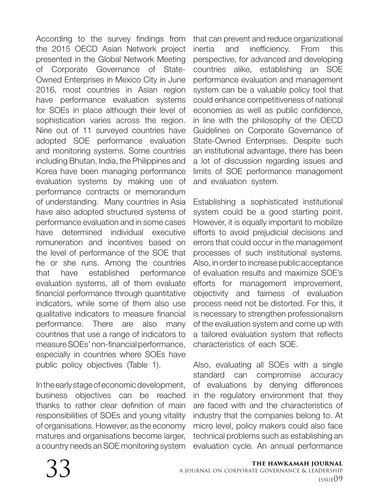According to the survey findings from the 2015 OECD Asian Network project presented in the Global Network Meeting of Corporate Governance of State-Owned Enterprises in Mexico City in June 2016, most countries in Asian region have performance evaluation systems for SOEs in place although their level of sophistication varies across the region. Nine out of 11 surveyed countries have adopted SOE performance evaluation and monitoring systems. Some countries including Bhutan, India, the Philippines and Korea have been managing performance evaluation systems by making use of performance contracts or memorandum of understanding. Many countries in Asia have also adopted structured systems of performance evaluation and in some cases have determined individual executive remuneration and incentives based on the level of performance of the SOE that he or she runs. Among the countries that have established performance evaluation systems, all of them evaluate financial performance through quantitative indicators, while some of them also use qualitative indicators to measure financial performance. There are also many countries that use a range of indicators to measure SOEs' non-financial performance, especially in countries where SOEs have public policy objectives (Table 1).

In the early stage of economic development, business objectives can be reached thanks to rather clear definition of main responsibilities of SOEs and young vitality of organisations. However, as the economy matures and organisations become larger, a country needs an SOE monitoring system

that can prevent and reduce organizational inertia and inefficiency. From this perspective, for advanced and developing countries alike, establishing an SOE performance evaluation and management system can be a valuable policy tool that could enhance competitiveness of national economies as well as public confidence, in line with the philosophy of the OECD Guidelines on Corporate Governance of State-Owned Enterprises. Despite such an institutional advantage, there has been a lot of discussion regarding issues and limits of SOE performance management and evaluation system.

Establishing a sophisticated institutional system could be a good starting point. However, it is equally important to mobilize efforts to avoid prejudicial decisions and errors that could occur in the management processes of such institutional systems. Also, in order to increase public acceptance of evaluation results and maximize SOE's efforts for management improvement, objectivity and fairness of evaluation process need not be distorted. For this, it is necessary to strengthen professionalism of the evaluation system and come up with a tailored evaluation system that reflects characteristics of each SOE.

Also, evaluating all SOEs with a single standard can compromise accuracy of evaluations by denying differences in the regulatory environment that they are faced with and the characteristics of industry that the companies belong to. At micro level, policy makers could also face technical problems such as establishing an evaluation cycle. An annual performance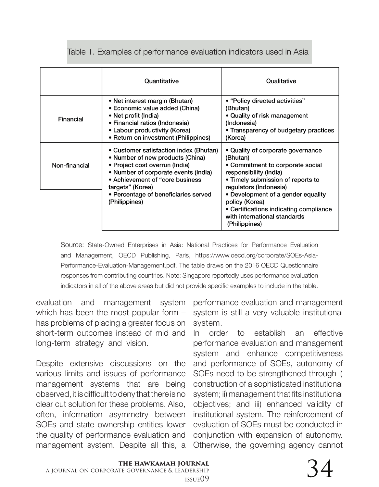#### Table 1. Examples of performance evaluation indicators used in Asia

|               | Quantitative                                                                                                                                                                                                                                                          | Qualitative                                                                                                                                                                |
|---------------|-----------------------------------------------------------------------------------------------------------------------------------------------------------------------------------------------------------------------------------------------------------------------|----------------------------------------------------------------------------------------------------------------------------------------------------------------------------|
| Financial     | • Net interest margin (Bhutan)<br>• Economic value added (China)<br>• Net profit (India)<br>• Financial ratios (Indonesia)<br>• Labour productivity (Korea)<br>• Return on investment (Philippines)                                                                   | • "Policy directed activities"<br>(Bhutan)<br>• Quality of risk management<br>(Indonesia)<br>• Transparency of budgetary practices<br>(Korea)                              |
| Non-financial | • Customer satisfaction index (Bhutan)<br>• Number of new products (China)<br>• Project cost overrun (India)<br>• Number of corporate events (India)<br>• Achievement of "core business"<br>targets" (Korea)<br>• Percentage of beneficiaries served<br>(Philippines) | • Quality of corporate governance<br>(Bhutan)<br>• Commitment to corporate social<br>responsibility (India)<br>• Timely submission of reports to<br>regulators (Indonesia) |
|               |                                                                                                                                                                                                                                                                       | • Development of a gender equality<br>policy (Korea)<br>• Certifications indicating compliance<br>with international standards<br>(Philippines)                            |

Source: State-Owned Enterprises in Asia: National Practices for Performance Evaluation and Management, OECD Publishing, Paris, https://www.oecd.org/corporate/SOEs-Asia-Performance-Evaluation-Management.pdf. The table draws on the 2016 OECD Questionnaire responses from contributing countries. Note: Singapore reportedly uses performance evaluation indicators in all of the above areas but did not provide specific examples to include in the table.

evaluation and management system which has been the most popular form – has problems of placing a greater focus on short-term outcomes instead of mid and long-term strategy and vision.

Despite extensive discussions on the various limits and issues of performance management systems that are being observed, it is difficult to deny that there is no clear cut solution for these problems. Also, often, information asymmetry between SOEs and state ownership entities lower the quality of performance evaluation and management system. Despite all this, a

performance evaluation and management system is still a very valuable institutional system.

In order to establish an effective performance evaluation and management system and enhance competitiveness and performance of SOEs, autonomy of SOEs need to be strengthened through i) construction of a sophisticated institutional system; ii) management that fits institutional objectives; and iii) enhanced validity of institutional system. The reinforcement of evaluation of SOEs must be conducted in conjunction with expansion of autonomy. Otherwise, the governing agency cannot

# $\frac{1}{\text{Deschip}}$  34

### **the hawkamah journal** a journal on corporate governance & leadership